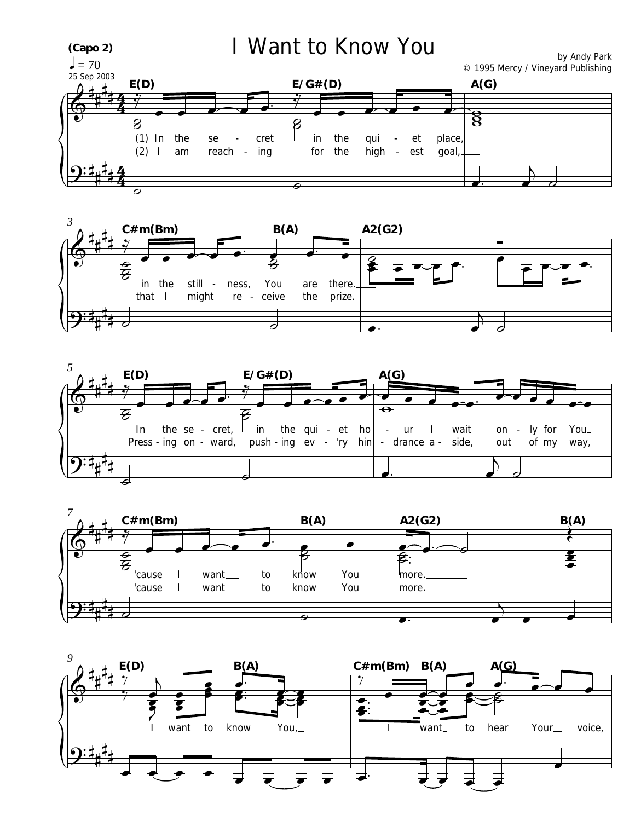